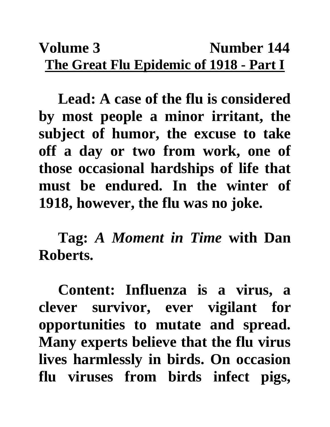## Volume 3 **Number 144 The Great Flu Epidemic of 1918 - Part I**

**Lead: A case of the flu is considered by most people a minor irritant, the subject of humor, the excuse to take off a day or two from work, one of those occasional hardships of life that must be endured. In the winter of 1918, however, the flu was no joke.**

**Tag:** *A Moment in Time* **with Dan Roberts.**

**Content: Influenza is a virus, a clever survivor, ever vigilant for opportunities to mutate and spread. Many experts believe that the flu virus lives harmlessly in birds. On occasion flu viruses from birds infect pigs,**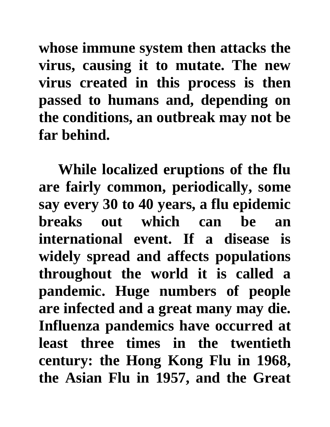**whose immune system then attacks the virus, causing it to mutate. The new virus created in this process is then passed to humans and, depending on the conditions, an outbreak may not be far behind.** 

**While localized eruptions of the flu are fairly common, periodically, some say every 30 to 40 years, a flu epidemic breaks out which can be an international event. If a disease is widely spread and affects populations throughout the world it is called a pandemic. Huge numbers of people are infected and a great many may die. Influenza pandemics have occurred at least three times in the twentieth century: the Hong Kong Flu in 1968, the Asian Flu in 1957, and the Great**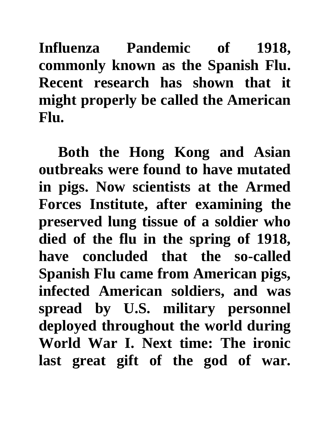**Influenza Pandemic of 1918, commonly known as the Spanish Flu. Recent research has shown that it might properly be called the American Flu.** 

**Both the Hong Kong and Asian outbreaks were found to have mutated in pigs. Now scientists at the Armed Forces Institute, after examining the preserved lung tissue of a soldier who died of the flu in the spring of 1918, have concluded that the so-called Spanish Flu came from American pigs, infected American soldiers, and was spread by U.S. military personnel deployed throughout the world during World War I. Next time: The ironic last great gift of the god of war.**